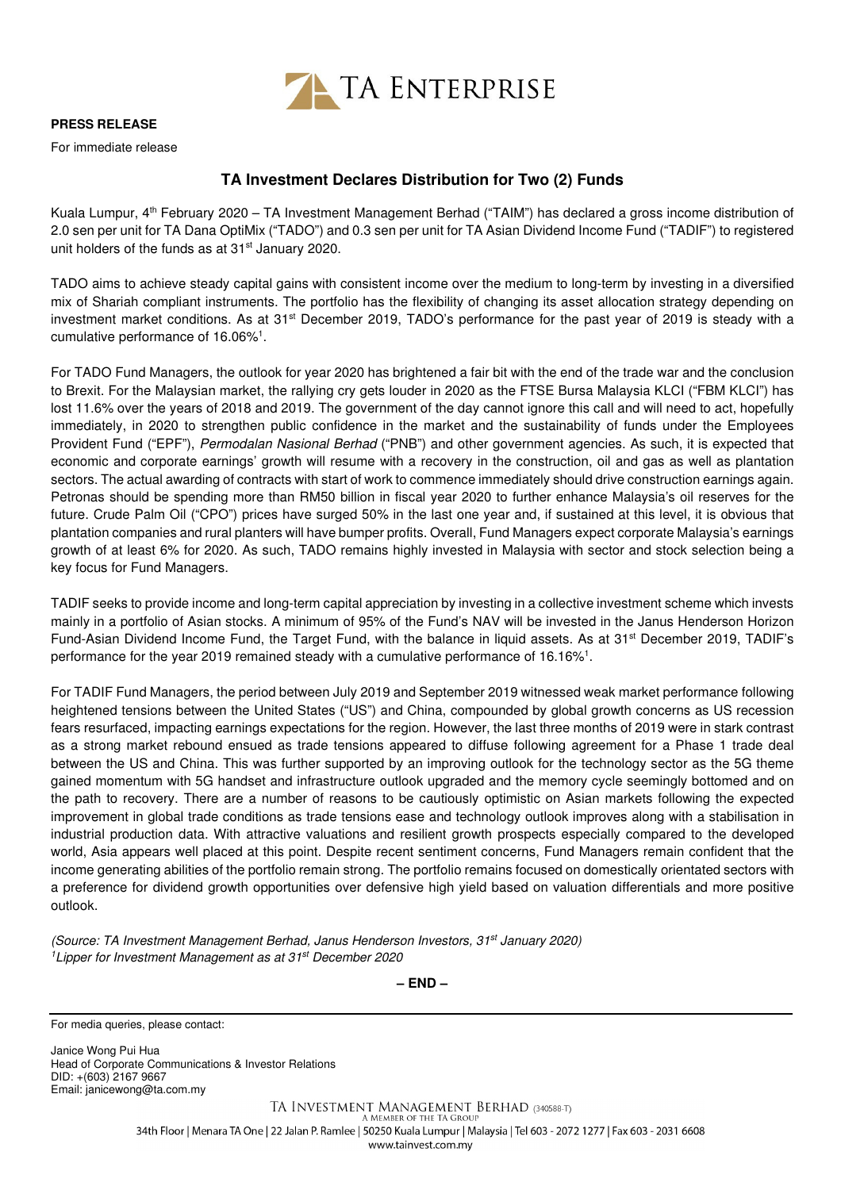

## **PRESS RELEASE**

For immediate release

## **TA Investment Declares Distribution for Two (2) Funds**

Kuala Lumpur, 4<sup>th</sup> February 2020 – TA Investment Management Berhad ("TAIM") has declared a gross income distribution of 2.0 sen per unit for TA Dana OptiMix ("TADO") and 0.3 sen per unit for TA Asian Dividend Income Fund ("TADIF") to registered unit holders of the funds as at 31<sup>st</sup> January 2020.

TADO aims to achieve steady capital gains with consistent income over the medium to long-term by investing in a diversified mix of Shariah compliant instruments. The portfolio has the flexibility of changing its asset allocation strategy depending on investment market conditions. As at  $31<sup>st</sup>$  December 2019, TADO's performance for the past year of 2019 is steady with a cumulative performance of 16.06%<sup>1</sup>.

For TADO Fund Managers, the outlook for year 2020 has brightened a fair bit with the end of the trade war and the conclusion to Brexit. For the Malaysian market, the rallying cry gets louder in 2020 as the FTSE Bursa Malaysia KLCI ("FBM KLCI") has lost 11.6% over the years of 2018 and 2019. The government of the day cannot ignore this call and will need to act, hopefully immediately, in 2020 to strengthen public confidence in the market and the sustainability of funds under the Employees Provident Fund ("EPF"), Permodalan Nasional Berhad ("PNB") and other government agencies. As such, it is expected that economic and corporate earnings' growth will resume with a recovery in the construction, oil and gas as well as plantation sectors. The actual awarding of contracts with start of work to commence immediately should drive construction earnings again. Petronas should be spending more than RM50 billion in fiscal year 2020 to further enhance Malaysia's oil reserves for the future. Crude Palm Oil ("CPO") prices have surged 50% in the last one year and, if sustained at this level, it is obvious that plantation companies and rural planters will have bumper profits. Overall, Fund Managers expect corporate Malaysia's earnings growth of at least 6% for 2020. As such, TADO remains highly invested in Malaysia with sector and stock selection being a key focus for Fund Managers.

TADIF seeks to provide income and long-term capital appreciation by investing in a collective investment scheme which invests mainly in a portfolio of Asian stocks. A minimum of 95% of the Fund's NAV will be invested in the Janus Henderson Horizon Fund-Asian Dividend Income Fund, the Target Fund, with the balance in liquid assets. As at 31<sup>st</sup> December 2019, TADIF's performance for the year 2019 remained steady with a cumulative performance of 16.16%<sup>1</sup>.

For TADIF Fund Managers, the period between July 2019 and September 2019 witnessed weak market performance following heightened tensions between the United States ("US") and China, compounded by global growth concerns as US recession fears resurfaced, impacting earnings expectations for the region. However, the last three months of 2019 were in stark contrast as a strong market rebound ensued as trade tensions appeared to diffuse following agreement for a Phase 1 trade deal between the US and China. This was further supported by an improving outlook for the technology sector as the 5G theme gained momentum with 5G handset and infrastructure outlook upgraded and the memory cycle seemingly bottomed and on the path to recovery. There are a number of reasons to be cautiously optimistic on Asian markets following the expected improvement in global trade conditions as trade tensions ease and technology outlook improves along with a stabilisation in industrial production data. With attractive valuations and resilient growth prospects especially compared to the developed world, Asia appears well placed at this point. Despite recent sentiment concerns, Fund Managers remain confident that the income generating abilities of the portfolio remain strong. The portfolio remains focused on domestically orientated sectors with a preference for dividend growth opportunities over defensive high yield based on valuation differentials and more positive outlook.

(Source: TA Investment Management Berhad, Janus Henderson Investors, 31st January 2020) <sup>1</sup> Lipper for Investment Management as at 31<sup>st</sup> December 2020

**– END –**

For media queries, please contact:

Janice Wong Pui Hua Head of Corporate Communications & Investor Relations DID: +(603) 2167 9667 Email: janicewong@ta.com.my

> TA INVESTMENT MANAGEMENT BERHAD (340588-T) A MEMBER OF THE TA GROUP 34th Floor | Menara TA One | 22 Jalan P. Ramlee | 50250 Kuala Lumpur | Malaysia | Tel 603 - 2072 1277 | Fax 603 - 2031 6608 www.tainvest.com.mv